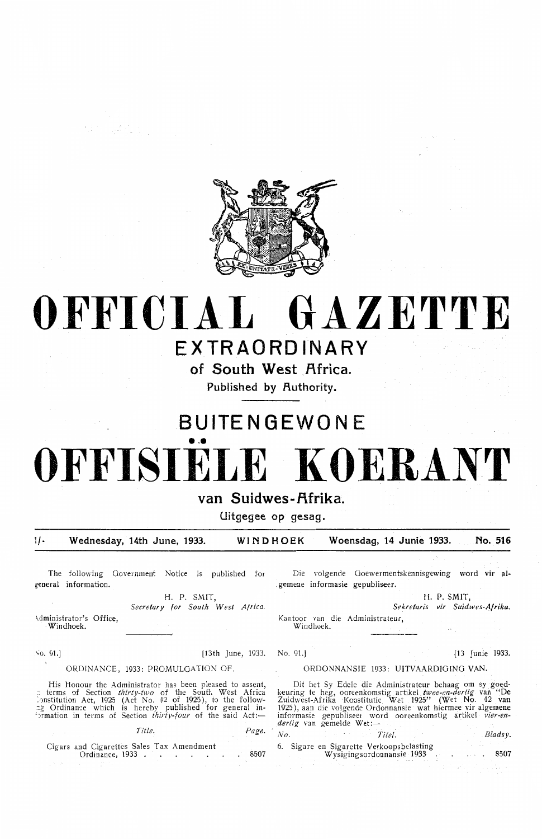

# **OFFICIAL GAZETTE**

### **EXTRAORDINARY**

of South West Africa.

Published by Authority.

## **. BUITENGEWONE**  ••• **OFFISIELE KOERANT**

#### van Suidwes-Afrika<sup>.</sup>

**Uitgegee op gesag.** 

11~ **Wednesday, 14th June, 1933. WINDHOEK Woensdag, 14 Junie 1933. No. 516** 

**The** following Government Notice is published for **general information.** 

**国王 经** 

**H . P. SMIT,** 

;dministrator's Office, Windhoek. *Secretary for South West A/rica.* 

No. 91.] [13 Junie 1933. No. 91.] [13 Junie 1933.

#### ORDINANCE, 1933: PROMULGATION OF

His Honour the Administrator has been pleased to assent,  $\pi$  terms of Section *thirty-two* of the South West Africa :-<br>institution Act, 1925 (Act No. 42 of 1925), to the follow-:g Ordinance which is hereby published for general in- ' :•rmation in terms of Section *thirty-four* of the said Act:-

*Title. Page.* 

Cigars and Cigarettes Sales Tax Amendment<br>Ordinance, 1933

Die volgende Ooewermentskennisgewing word vir al- . gemene informasie gepubliseer.

H. P. SMIT.

*Sekretaris vir Suidwes-Af rika.* 

Kantoor van die Administrateur, Windhoek.

#### ORDONNANSIE 1933 : UITVAARDIOINO **VAN.**

Dit het Sy Edele die Administrateur behaag om sy goedkeuring te heg, ooreenkomstig artikel twee-en-dertig van "De Zuidwest-Afrika Konstitutie Wet 1925" . (Wet No. 42 van 1925), aan die volgende Ordontnansie wat hiermee vir algement informasie gepubliseer word ooreenkomstig artikel *vier-en- dertig* van gemelde Wet:-

*No. Titel.* Bladsy. 6. Sigare en Sigarette Verkoopsbelasting<br>Wysigingsordonnansie 1933 . . . . . 850